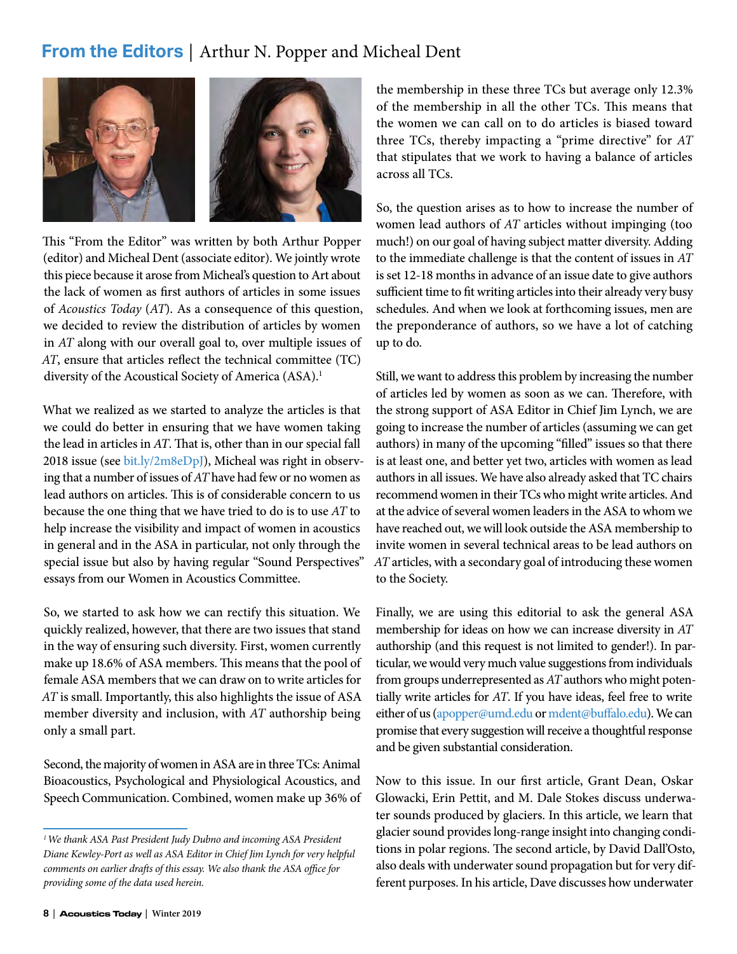## **From the Editors** | Arthur N. Popper and Micheal Dent



This "From the Editor" was written by both Arthur Popper (editor) and Micheal Dent (associate editor). We jointly wrote this piece because it arose from Micheal's question to Art about the lack of women as first authors of articles in some issues of *Acoustics Today* (*AT*). As a consequence of this question, we decided to review the distribution of articles by women in *AT* along with our overall goal to, over multiple issues of *AT*, ensure that articles reflect the technical committee (TC) diversity of the Acoustical Society of America (ASA).<sup>1</sup>

What we realized as we started to analyze the articles is that we could do better in ensuring that we have women taking the lead in articles in *AT*. That is, other than in our special fall 2018 issue (see [bit.ly/2m8eDpJ](http://bit.ly/2m8eDpJ)), Micheal was right in observing that a number of issues of *AT* have had few or no women as lead authors on articles. This is of considerable concern to us because the one thing that we have tried to do is to use *AT* to help increase the visibility and impact of women in acoustics in general and in the ASA in particular, not only through the special issue but also by having regular "Sound Perspectives" essays from our Women in Acoustics Committee.

So, we started to ask how we can rectify this situation. We quickly realized, however, that there are two issues that stand in the way of ensuring such diversity. First, women currently make up 18.6% of ASA members. This means that the pool of female ASA members that we can draw on to write articles for *AT* is small. Importantly, this also highlights the issue of ASA member diversity and inclusion, with *AT* authorship being only a small part.

Second, the majority of women in ASA are in three TCs: Animal Bioacoustics, Psychological and Physiological Acoustics, and Speech Communication. Combined, women make up 36% of the membership in these three TCs but average only 12.3% of the membership in all the other TCs. This means that the women we can call on to do articles is biased toward three TCs, thereby impacting a "prime directive" for *AT* that stipulates that we work to having a balance of articles across all TCs.

So, the question arises as to how to increase the number of women lead authors of *AT* articles without impinging (too much!) on our goal of having subject matter diversity. Adding to the immediate challenge is that the content of issues in *AT* is set 12-18 months in advance of an issue date to give authors sufficient time to fit writing articles into their already very busy schedules. And when we look at forthcoming issues, men are the preponderance of authors, so we have a lot of catching up to do.

Still, we want to address this problem by increasing the number of articles led by women as soon as we can. Therefore, with the strong support of ASA Editor in Chief Jim Lynch, we are going to increase the number of articles (assuming we can get authors) in many of the upcoming "filled" issues so that there is at least one, and better yet two, articles with women as lead authors in all issues. We have also already asked that TC chairs recommend women in their TCs who might write articles. And at the advice of several women leaders in the ASA to whom we have reached out, we will look outside the ASA membership to invite women in several technical areas to be lead authors on *AT* articles, with a secondary goal of introducing these women to the Society.

Finally, we are using this editorial to ask the general ASA membership for ideas on how we can increase diversity in *AT* authorship (and this request is not limited to gender!). In particular, we would very much value suggestions from individuals from groups underrepresented as *AT* authors who might potentially write articles for *AT*. If you have ideas, feel free to write either of us [\(apopper@umd.edu](mailto:apopper%40umd.edu?subject=) or [mdent@buffalo.edu](mailto:mdent%40buffalo.edu?subject=)). We can promise that every suggestion will receive a thoughtful response and be given substantial consideration.

Now to this issue. In our first article, Grant Dean, Oskar Glowacki, Erin Pettit, and M. Dale Stokes discuss underwater sounds produced by glaciers. In this article, we learn that glacier sound provides long-range insight into changing conditions in polar regions. The second article, by David Dall'Osto, also deals with underwater sound propagation but for very different purposes. In his article, Dave discusses how underwater

*<sup>1</sup>We thank ASA Past President Judy Dubno and incoming ASA President Diane Kewley-Port as well as ASA Editor in Chief Jim Lynch for very helpful comments on earlier drafts of this essay. We also thank the ASA office for providing some of the data used herein.*